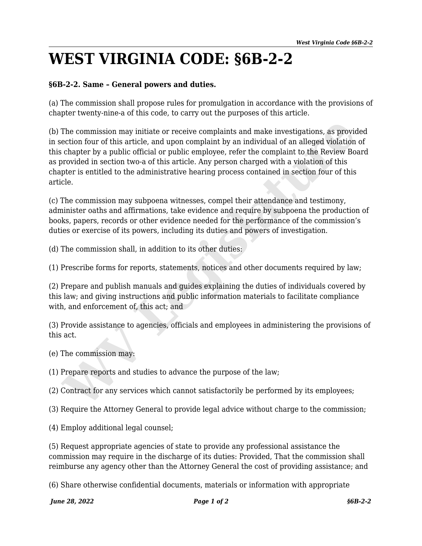## **WEST VIRGINIA CODE: §6B-2-2**

## **§6B-2-2. Same – General powers and duties.**

(a) The commission shall propose rules for promulgation in accordance with the provisions of chapter twenty-nine-a of this code, to carry out the purposes of this article.

(b) The commission may initiate or receive complaints and make investigations, as provided in section four of this article, and upon complaint by an individual of an alleged violation of this chapter by a public official or public employee, refer the complaint to the Review Board as provided in section two-a of this article. Any person charged with a violation of this chapter is entitled to the administrative hearing process contained in section four of this article. The commission may initiate or receive complaints and make investigations, as provided in our of this article, and upon complaint by an individual of an alleged violation chopter by a public official or public employee, re

(c) The commission may subpoena witnesses, compel their attendance and testimony, administer oaths and affirmations, take evidence and require by subpoena the production of books, papers, records or other evidence needed for the performance of the commission's duties or exercise of its powers, including its duties and powers of investigation.

(d) The commission shall, in addition to its other duties:

(1) Prescribe forms for reports, statements, notices and other documents required by law;

(2) Prepare and publish manuals and guides explaining the duties of individuals covered by this law; and giving instructions and public information materials to facilitate compliance with, and enforcement of, this act; and

(3) Provide assistance to agencies, officials and employees in administering the provisions of this act.

(e) The commission may:

(1) Prepare reports and studies to advance the purpose of the law;

(2) Contract for any services which cannot satisfactorily be performed by its employees;

(3) Require the Attorney General to provide legal advice without charge to the commission;

(4) Employ additional legal counsel;

(5) Request appropriate agencies of state to provide any professional assistance the commission may require in the discharge of its duties: Provided, That the commission shall reimburse any agency other than the Attorney General the cost of providing assistance; and

(6) Share otherwise confidential documents, materials or information with appropriate

*June 28, 2022 Page 1 of 2 §6B-2-2*